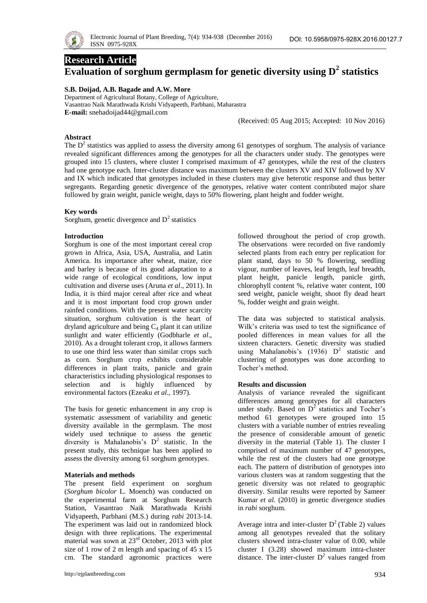

# **Research Article**

# **Evaluation of sorghum germplasm for genetic diversity using D<sup>2</sup> statistics**

# **S.B. Doijad, A.B. Bagade and A.W. More**

Department of Agricultural Botany, College of Agriculture, Vasantrao Naik Marathwada Krishi Vidyapeeth, Parbhani, Maharastra **E-mail:** snehadoijad44@gmail.com

(Received: 05 Aug 2015; Accepted: 10 Nov 2016)

# **Abstract**

The  $D<sup>2</sup>$  statistics was applied to assess the diversity among 61 genotypes of sorghum. The analysis of variance revealed significant differences among the genotypes for all the characters under study. The genotypes were grouped into 15 clusters, where cluster I comprised maximum of 47 genotypes, while the rest of the clusters had one genotype each. Inter-cluster distance was maximum between the clusters XV and XIV followed by XV and IX which indicated that genotypes included in these clusters may give heterotic response and thus better segregants. Regarding genetic divergence of the genotypes, relative water content contributed major share followed by grain weight, panicle weight, days to 50% flowering, plant height and fodder weight.

# **Key words**

Sorghum, genetic divergence and  $D<sup>2</sup>$  statistics

#### **Introduction**

Sorghum is one of the most important cereal crop grown in Africa, Asia, USA, Australia, and Latin America. Its importance after wheat, maize, rice and barley is because of its good adaptation to a wide range of ecological conditions, low input cultivation and diverse uses (Aruna *et al*., 2011). In India, it is third major cereal after rice and wheat and it is most important food crop grown under rainfed conditions. With the present water scarcity situation, sorghum cultivation is the heart of dryland agriculture and being  $C_4$  plant it can utilize sunlight and water efficiently (Godbharle *et al*., 2010). As a drought tolerant crop, it allows farmers to use one third less water than similar crops such as corn. Sorghum crop exhibits considerable differences in plant traits, panicle and grain characteristics including physiological responses to selection and is highly influenced by environmental factors (Ezeaku *et al*., 1997).

The basis for genetic enhancement in any crop is systematic assessment of variability and genetic diversity available in the germplasm. The most widely used technique to assess the genetic diversity is Mahalanobis's  $D^2$  statistic. In the present study, this technique has been applied to assess the diversity among 61 sorghum genotypes.

#### **Materials and methods**

The present field experiment on sorghum (*Sorghum bicolor* L. Moench) was conducted on the experimental farm at Sorghum Research Station, Vasantrao Naik Marathwada Krishi Vidyapeeth, Parbhani (M.S.) during *rabi* 2013-14. The experiment was laid out in randomized block design with three replications. The experimental material was sown at 23<sup>rd</sup> October, 2013 with plot size of 1 row of 2 m length and spacing of 45 x 15 cm. The standard agronomic practices were

followed throughout the period of crop growth. The observations were recorded on five randomly selected plants from each entry per replication for plant stand, days to 50 % flowering, seedling vigour, number of leaves, leaf length, leaf breadth, plant height, panicle length, panicle girth, chlorophyll content %, relative water content, 100 seed weight, panicle weight, shoot fly dead heart %, fodder weight and grain weight.

The data was subjected to statistical analysis. Wilk's criteria was used to test the significance of pooled differences in mean values for all the sixteen characters. Genetic diversity was studied using Mahalanobis's  $(1936)$   $D^2$  statistic and clustering of genotypes was done according to Tocher's method.

#### **Results and discussion**

Analysis of variance revealed the significant differences among genotypes for all characters under study. Based on  $D^2$  statistics and Tocher's method 61 genotypes were grouped into 15 clusters with a variable number of entries revealing the presence of considerable amount of genetic diversity in the material (Table 1). The cluster I comprised of maximum number of 47 genotypes, while the rest of the clusters had one genotype each. The pattern of distribution of genotypes into various clusters was at random suggesting that the genetic diversity was not related to geographic diversity. Similar results were reported by Sameer Kumar *et al.* (2010) in genetic divergence studies in *rabi* sorghum.

Average intra and inter-cluster  $D^2$  (Table 2) values among all genotypes revealed that the solitary clusters showed intra-cluster value of 0.00, while cluster I (3.28) showed maximum intra-cluster distance. The inter-cluster  $D^2$  values ranged from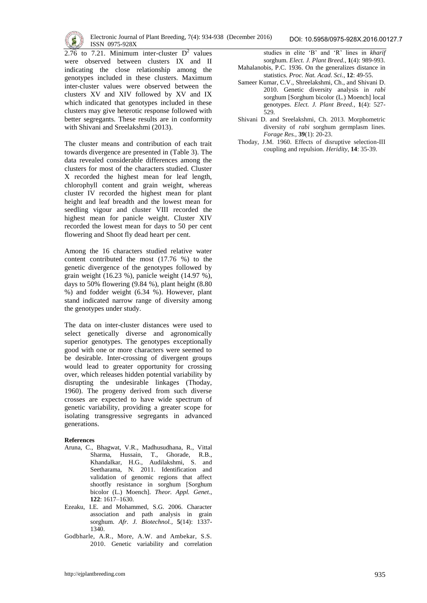

2.76 to 7.21. Minimum inter-cluster  $D^2$  values were observed between clusters IX and II indicating the close relationship among the genotypes included in these clusters. Maximum inter-cluster values were observed between the clusters XV and XIV followed by XV and IX which indicated that genotypes included in these clusters may give heterotic response followed with better segregants. These results are in conformity with Shivani and Sreelakshmi (2013).

The cluster means and contribution of each trait towards divergence are presented in (Table 3). The data revealed considerable differences among the clusters for most of the characters studied. Cluster X recorded the highest mean for leaf length, chlorophyll content and grain weight, whereas cluster IV recorded the highest mean for plant height and leaf breadth and the lowest mean for seedling vigour and cluster VIII recorded the highest mean for panicle weight. Cluster XIV recorded the lowest mean for days to 50 per cent flowering and Shoot fly dead heart per cent.

Among the 16 characters studied relative water content contributed the most (17.76 %) to the genetic divergence of the genotypes followed by grain weight (16.23 %), panicle weight (14.97 %), days to 50% flowering (9.84 %), plant height (8.80 %) and fodder weight (6.34 %). However, plant stand indicated narrow range of diversity among the genotypes under study.

The data on inter-cluster distances were used to select genetically diverse and agronomically superior genotypes. The genotypes exceptionally good with one or more characters were seemed to be desirable. Inter-crossing of divergent groups would lead to greater opportunity for crossing over, which releases hidden potential variability by disrupting the undesirable linkages (Thoday, 1960). The progeny derived from such diverse crosses are expected to have wide spectrum of genetic variability, providing a greater scope for isolating transgressive segregants in advanced generations.

#### **References**

- Aruna, C., Bhagwat, V.R., Madhusudhana, R., Vittal Sharma, Hussain, T., Ghorade, R.B., Khandalkar, H.G., Audilakshmi, S. and Seetharama, N. 2011. Identification and validation of genomic regions that affect shootfly resistance in sorghum [Sorghum bicolor (L.) Moench]. *Theor. Appl. Genet*., **122**: 1617–1630.
- Ezeaku, I.E. and Mohammed, S.G. 2006. Character association and path analysis in grain sorghum. *Afr. J. Biotechnol.,* **5**(14): 1337- 1340.
- Godbharle, A.R., More, A.W. and Ambekar, S.S. 2010. Genetic variability and correlation

studies in elite 'B' and 'R' lines in *kharif* sorghum. *Elect. J. Plant Breed.,* **1**(4): 989-993.

- Mahalanobis, P.C. 1936. On the generalizes distance in statistics. *Proc. Nat. Acad. Sci.*, **12**: 49-55.
- Sameer Kumar, C.V., Shreelakshmi, Ch., and Shivani D. 2010. Genetic diversity analysis in *rabi* sorghum [Sorghum bicolor (L.) Moench] local genotypes. *Elect. J. Plant Breed.,* **1**(4): 527- 529.
- Shivani D. and Sreelakshmi, Ch. 2013. Morphometric diversity of *rabi* sorghum germplasm lines. *Forage Res.,* **39**(1): 20-23.
- Thoday, J.M. 1960. Effects of disruptive selection-III coupling and repulsion. *Heridity*, **14**: 35-39.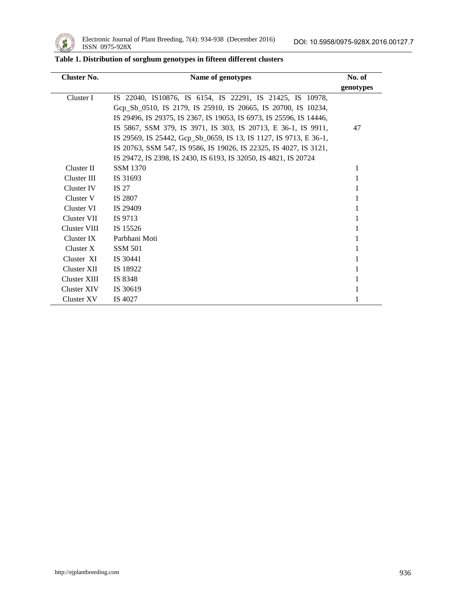

| <b>Cluster No.</b> | Name of genotypes                                                   | No. of    |  |  |
|--------------------|---------------------------------------------------------------------|-----------|--|--|
|                    |                                                                     | genotypes |  |  |
| Cluster I          | IS 22040, IS10876, IS 6154, IS 22291, IS 21425, IS 10978,           |           |  |  |
|                    | Gep Sb 0510, IS 2179, IS 25910, IS 20665, IS 20700, IS 10234,       |           |  |  |
|                    | IS 29496, IS 29375, IS 2367, IS 19053, IS 6973, IS 25596, IS 14446, |           |  |  |
|                    | IS 5867, SSM 379, IS 3971, IS 303, IS 20713, E 36-1, IS 9911,       | 47        |  |  |
|                    | IS 29569, IS 25442, Gcp_Sb_0659, IS 13, IS 1127, IS 9713, E 36-1,   |           |  |  |
|                    | IS 20763, SSM 547, IS 9586, IS 19026, IS 22325, IS 4027, IS 3121,   |           |  |  |
|                    | IS 29472, IS 2398, IS 2430, IS 6193, IS 32050, IS 4821, IS 20724    |           |  |  |
| Cluster II         | <b>SSM 1370</b>                                                     | 1         |  |  |
| Cluster III        | IS 31693                                                            | 1         |  |  |
| Cluster IV         | IS 27                                                               |           |  |  |
| Cluster V          | IS 2807                                                             |           |  |  |
| Cluster VI         | IS 29409                                                            |           |  |  |
| Cluster VII        | IS 9713                                                             |           |  |  |
| Cluster VIII       | IS 15526                                                            | 1         |  |  |
| Cluster IX         | Parbhani Moti                                                       | 1         |  |  |
| Cluster X          | <b>SSM 501</b>                                                      |           |  |  |
| Cluster XI         | IS 30441                                                            |           |  |  |
| Cluster XII        | IS 18922                                                            |           |  |  |
| Cluster XIII       | IS 8348                                                             |           |  |  |
| Cluster XIV        | IS 30619                                                            |           |  |  |
| Cluster XV         | IS 4027                                                             |           |  |  |

# **Table 1. Distribution of sorghum genotypes in fifteen different clusters**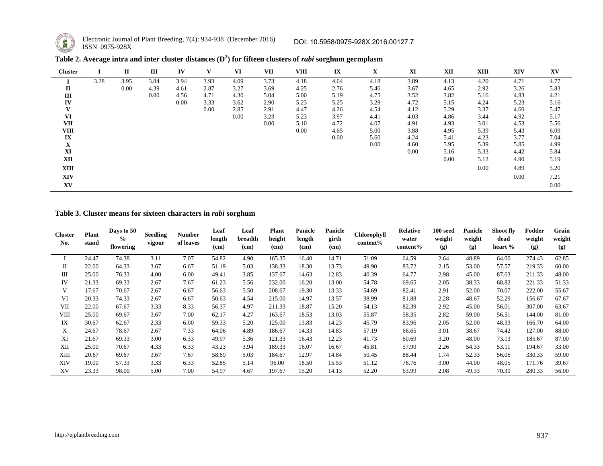

 $\overline{\phantom{a}}$ 

Electronic Journal of Plant Breeding, 7(4): 934-938 (December 2016) **ISSN** 0975-928X

| <b>Cluster</b> |      | п        | Ш    | IV   |      | VI   | VII  | VIII | IX   | л    | XI   | XII  | <b>XIII</b> | <b>XIV</b> | XV   |
|----------------|------|----------|------|------|------|------|------|------|------|------|------|------|-------------|------------|------|
|                | 3.28 | 3.95     | 3.84 | 3.94 | 3.93 | 4.09 | 3.73 | 4.18 | 4.64 | 4.18 | 3.89 | 4.13 | 4.20        | 4.71       | 4.77 |
| $\mathbf{I}$   |      | $0.00\,$ | 4.39 | 4.61 | 2.87 | 3.27 | 3.69 | 4.25 | 2.76 | 5.46 | 3.67 | 4.65 | 2.92        | 3.26       | 5.83 |
| Ш              |      |          | 0.00 | 4.56 | 4.71 | 4.30 | 5.04 | 5.00 | 5.19 | 4.75 | 3.52 | 3.82 | 5.16        | 4.83       | 4.21 |
| IV             |      |          |      | 0.00 | 3.33 | 3.62 | 2.90 | 5.23 | 5.25 | 3.29 | 4.72 | 5.15 | 4.24        | 5.23       | 5.16 |
| V              |      |          |      |      | 0.00 | 2.85 | 2.91 | 4.47 | 4.26 | 4.54 | 4.12 | 5.29 | 3.37        | 4.60       | 5.47 |
| VI             |      |          |      |      |      | 0.00 | 3.23 | 5.23 | 3.97 | 4.41 | 4.03 | 4.86 | 3.44        | 4.92       | 5.17 |
| <b>VII</b>     |      |          |      |      |      |      | 0.00 | 5.10 | 4.72 | 4.07 | 4.91 | 4.93 | 3.01        | 4.53       | 5.56 |
| VIII           |      |          |      |      |      |      |      | 0.00 | 4.65 | 5.00 | 3.88 | 4.95 | 5.39        | 5.43       | 6.09 |
| IX             |      |          |      |      |      |      |      |      | 0.00 | 5.60 | 4.24 | 5.41 | 4.23        | 3.77       | 7.04 |
| $\mathbf X$    |      |          |      |      |      |      |      |      |      | 0.00 | 4.60 | 5.95 | 5.39        | 5.85       | 4.99 |
| XI             |      |          |      |      |      |      |      |      |      |      | 0.00 | 5.16 | 5.33        | 4.42       | 5.84 |
| XII            |      |          |      |      |      |      |      |      |      |      |      | 0.00 | 5.12        | 4.90       | 5.19 |
| XIII           |      |          |      |      |      |      |      |      |      |      |      |      | 0.00        | 4.89       | 5.20 |
| <b>XIV</b>     |      |          |      |      |      |      |      |      |      |      |      |      |             | 0.00       | 7.21 |
| XV             |      |          |      |      |      |      |      |      |      |      |      |      |             |            | 0.00 |

| Table 2. Average intra and inter cluster distances $(D^2)$ for fifteen clusters of <i>rabi</i> sorghum germplasm |  |  |
|------------------------------------------------------------------------------------------------------------------|--|--|
|                                                                                                                  |  |  |
|                                                                                                                  |  |  |

# **Table 3. Cluster means for sixteen characters in** *rabi* **sorghum**

| <b>Cluster</b><br>No. | <b>Plant</b><br>stand | Days to 50<br>$\frac{6}{9}$<br>flowering | <b>Seedling</b><br>vigour | Number<br>of leaves | Leaf<br>length<br>(cm) | Leaf<br>breadth<br>(cm) | <b>Plant</b><br>height<br>(cm) | <b>Panicle</b><br>length<br>(cm) | Panicle<br>girth<br>(cm) | Chlorophyll<br>content% | <b>Relative</b><br>water<br>content% | 100 seed<br>weight<br>(g) | <b>Panicle</b><br>weight<br>(g) | Shoot fly<br>dead<br>heart % | Fodder<br>weight<br>(g) | Grain<br>weight<br>(g) |
|-----------------------|-----------------------|------------------------------------------|---------------------------|---------------------|------------------------|-------------------------|--------------------------------|----------------------------------|--------------------------|-------------------------|--------------------------------------|---------------------------|---------------------------------|------------------------------|-------------------------|------------------------|
|                       | 24.47                 | 74.38                                    | 3.11                      | 7.07                | 54.82                  | 4.90                    | 165.35                         | 16.40                            | 14.71                    | 51.09                   | 64.59                                | 2.64                      | 48.89                           | 64.00                        | 274.43                  | 62.85                  |
| П                     | 22.00                 | 64.33                                    | 3.67                      | 6.67                | 51.19                  | 5.03                    | 138.33                         | 18.30                            | 13.73                    | 49.90                   | 83.72                                | 2.15                      | 53.00                           | 57.57                        | 219.33                  | 60.00                  |
| Ш                     | 25.00                 | 76.33                                    | 4.00                      | 6.00                | 49.41                  | 3.85                    | 137.67                         | 14.63                            | 12.83                    | 40.39                   | 64.77                                | 2.98                      | 45.00                           | 87.63                        | 211.33                  | 48.00                  |
| IV                    | 21.33                 | 69.33                                    | 2.67                      | 7.67                | 61.23                  | 5.56                    | 232.00                         | 16.20                            | 13.00                    | 54.78                   | 69.65                                | 2.05                      | 38.33                           | 68.82                        | 221.33                  | 51.33                  |
| V                     | 17.67                 | 70.67                                    | 2.67                      | 6.67                | 56.63                  | 5.50                    | 208.67                         | 19.30                            | 13.33                    | 54.69                   | 82.41                                | 2.91                      | 52.00                           | 70.07                        | 222.00                  | 55.67                  |
| VI                    | 20.33                 | 74.33                                    | 2.67                      | 6.67                | 50.63                  | 4.54                    | 215.00                         | 14.97                            | 13.57                    | 38.99                   | 81.88                                | 2.28                      | 48.67                           | 52.29                        | 156.67                  | 67.67                  |
| VII                   | 22.00                 | 67.67                                    | 3.33                      | 8.33                | 56.37                  | 4.97                    | 211.33                         | 18.87                            | 15.20                    | 54.13                   | 82.39                                | 2.92                      | 45.00                           | 56.01                        | 307.00                  | 63.67                  |
| VШ                    | 25.00                 | 69.67                                    | 3.67                      | 7.00                | 62.17                  | 4.27                    | 163.67                         | 18.53                            | 13.03                    | 55.87                   | 58.35                                | 2.82                      | 59.00                           | 56.51                        | 144.00                  | 81.00                  |
| IX                    | 30.67                 | 62.67                                    | 2.33                      | 6.00                | 59.33                  | 5.20                    | 125.00                         | 13.83                            | 14.23                    | 45.79                   | 83.96                                | 2.05                      | 52.00                           | 48.33                        | 166.70                  | 64.00                  |
| X                     | 24.67                 | 78.67                                    | 2.67                      | 7.33                | 64.06                  | 4.89                    | 186.67                         | 14.33                            | 14.83                    | 57.19                   | 66.65                                | 3.01                      | 38.67                           | 74.42                        | 127.00                  | 88.00                  |
| XI                    | 21.67                 | 69.33                                    | 3.00                      | 6.33                | 49.97                  | 5.36                    | 121.33                         | 16.43                            | 12.23                    | 41.73                   | 60.69                                | 3.20                      | 48.00                           | 73.13                        | 185.67                  | 87.00                  |
| XII                   | 25.00                 | 70.67                                    | 4.33                      | 6.33                | 43.23                  | 3.94                    | 189.33                         | 16.07                            | 16.67                    | 45.81                   | 57.90                                | 2.26                      | 54.33                           | 53.11                        | 194.67                  | 33.00                  |
| XIII                  | 20.67                 | 69.67                                    | 3.67                      | 7.67                | 58.69                  | 5.03                    | 184.67                         | 12.97                            | 14.84                    | 50.45                   | 88.44                                | 1.74                      | 52.33                           | 56.06                        | 330.33                  | 59.00                  |
| XIV                   | 19.00                 | 57.33                                    | 3.33                      | 6.33                | 52.85                  | 5.14                    | 96.00                          | 18.50                            | 15.53                    | 51.12                   | 76.76                                | 3.00                      | 44.00                           | 48.05                        | 171.76                  | 39.67                  |
| XV                    | 23.33                 | 98.00                                    | 5.00                      | 7.00                | 54.97                  | 4.67                    | 197.67                         | 15.20                            | 14.13                    | 52.20                   | 63.99                                | 2.08                      | 49.33                           | 70.30                        | 280.33                  | 56.00                  |